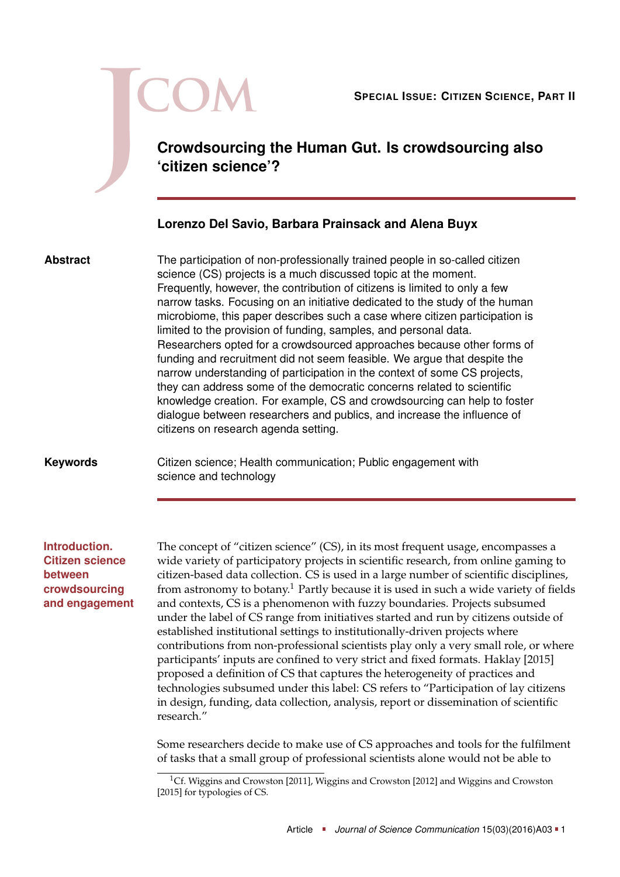

**Crowdsourcing the Human Gut. Is crowdsourcing also 'citizen science'?**

# **Lorenzo Del Savio, Barbara Prainsack and Alena Buyx**

**Abstract**

The participation of non-professionally trained people in so-called citizen science (CS) projects is a much discussed topic at the moment. Frequently, however, the contribution of citizens is limited to only a few narrow tasks. Focusing on an initiative dedicated to the study of the human microbiome, this paper describes such a case where citizen participation is limited to the provision of funding, samples, and personal data. Researchers opted for a crowdsourced approaches because other forms of funding and recruitment did not seem feasible. We argue that despite the narrow understanding of participation in the context of some CS projects, they can address some of the democratic concerns related to scientific knowledge creation. For example, CS and crowdsourcing can help to foster dialogue between researchers and publics, and increase the influence of citizens on research agenda setting.

### **Keywords**

Citizen science; Health communication; Public engagement with science and technology

**Introduction. Citizen science between crowdsourcing and engagement** The concept of "citizen science" (CS), in its most frequent usage, encompasses a wide variety of participatory projects in scientific research, from online gaming to citizen-based data collection. CS is used in a large number of scientific disciplines, from astronomy to botany.[1](#page-0-0) Partly because it is used in such a wide variety of fields and contexts, CS is a phenomenon with fuzzy boundaries. Projects subsumed under the label of CS range from initiatives started and run by citizens outside of established institutional settings to institutionally-driven projects where contributions from non-professional scientists play only a very small role, or where participants' inputs are confined to very strict and fixed formats. Haklay [\[2015\]](#page-13-0) proposed a definition of CS that captures the heterogeneity of practices and technologies subsumed under this label: CS refers to "Participation of lay citizens in design, funding, data collection, analysis, report or dissemination of scientific research."

Some researchers decide to make use of CS approaches and tools for the fulfilment of tasks that a small group of professional scientists alone would not be able to

<span id="page-0-0"></span><sup>&</sup>lt;sup>1</sup>Cf. Wiggins and Crowston [\[2011\]](#page-14-0), Wiggins and Crowston [\[2012\]](#page-14-1) and Wiggins and Crowston [\[2015\]](#page-14-2) for typologies of CS.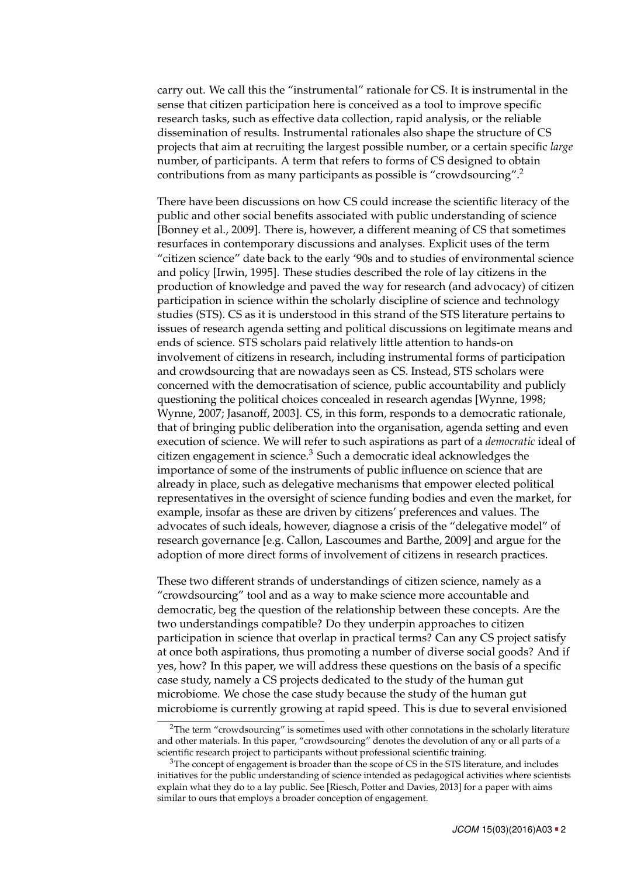carry out. We call this the "instrumental" rationale for CS. It is instrumental in the sense that citizen participation here is conceived as a tool to improve specific research tasks, such as effective data collection, rapid analysis, or the reliable dissemination of results. Instrumental rationales also shape the structure of CS projects that aim at recruiting the largest possible number, or a certain specific *large* number, of participants. A term that refers to forms of CS designed to obtain contributions from as many participants as possible is "crowdsourcing".[2](#page-1-0)

There have been discussions on how CS could increase the scientific literacy of the public and other social benefits associated with public understanding of science [Bonney et al., [2009\]](#page-12-0). There is, however, a different meaning of CS that sometimes resurfaces in contemporary discussions and analyses. Explicit uses of the term "citizen science" date back to the early '90s and to studies of environmental science and policy [Irwin, [1995\]](#page-13-1). These studies described the role of lay citizens in the production of knowledge and paved the way for research (and advocacy) of citizen participation in science within the scholarly discipline of science and technology studies (STS). CS as it is understood in this strand of the STS literature pertains to issues of research agenda setting and political discussions on legitimate means and ends of science. STS scholars paid relatively little attention to hands-on involvement of citizens in research, including instrumental forms of participation and crowdsourcing that are nowadays seen as CS. Instead, STS scholars were concerned with the democratisation of science, public accountability and publicly questioning the political choices concealed in research agendas [Wynne, [1998;](#page-14-3) Wynne, [2007;](#page-14-4) Jasanoff, [2003\]](#page-13-2). CS, in this form, responds to a democratic rationale, that of bringing public deliberation into the organisation, agenda setting and even execution of science. We will refer to such aspirations as part of a *democratic* ideal of citizen engagement in science. $3$  Such a democratic ideal acknowledges the importance of some of the instruments of public influence on science that are already in place, such as delegative mechanisms that empower elected political representatives in the oversight of science funding bodies and even the market, for example, insofar as these are driven by citizens' preferences and values. The advocates of such ideals, however, diagnose a crisis of the "delegative model" of research governance [e.g. Callon, Lascoumes and Barthe, [2009\]](#page-12-1) and argue for the adoption of more direct forms of involvement of citizens in research practices.

These two different strands of understandings of citizen science, namely as a "crowdsourcing" tool and as a way to make science more accountable and democratic, beg the question of the relationship between these concepts. Are the two understandings compatible? Do they underpin approaches to citizen participation in science that overlap in practical terms? Can any CS project satisfy at once both aspirations, thus promoting a number of diverse social goods? And if yes, how? In this paper, we will address these questions on the basis of a specific case study, namely a CS projects dedicated to the study of the human gut microbiome. We chose the case study because the study of the human gut microbiome is currently growing at rapid speed. This is due to several envisioned

<span id="page-1-0"></span> $2$ The term "crowdsourcing" is sometimes used with other connotations in the scholarly literature and other materials. In this paper, "crowdsourcing" denotes the devolution of any or all parts of a scientific research project to participants without professional scientific training.

<span id="page-1-1"></span> $3$ The concept of engagement is broader than the scope of CS in the STS literature, and includes initiatives for the public understanding of science intended as pedagogical activities where scientists explain what they do to a lay public. See [Riesch, Potter and Davies, [2013\]](#page-13-3) for a paper with aims similar to ours that employs a broader conception of engagement.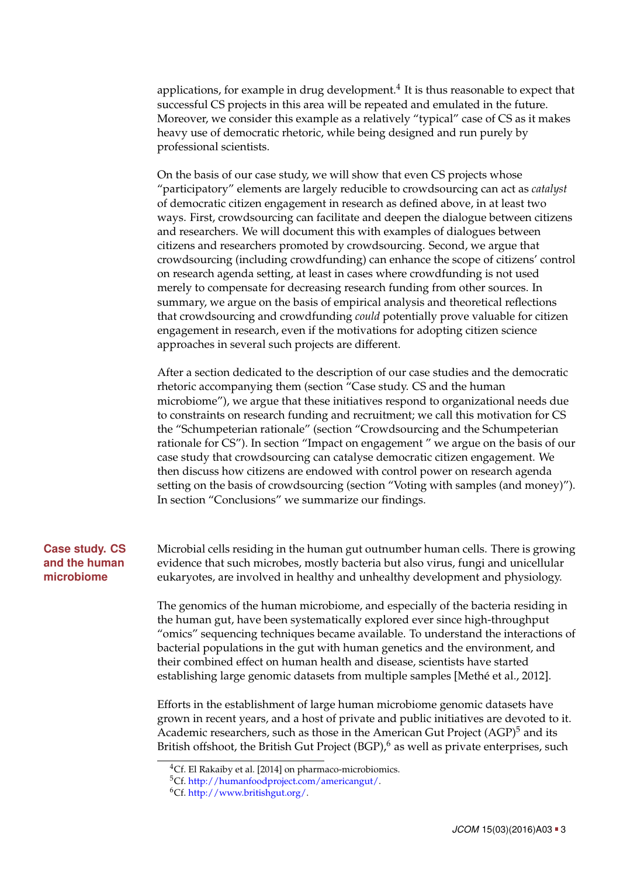applications, for example in drug development. $^4$  $^4$  It is thus reasonable to expect that successful CS projects in this area will be repeated and emulated in the future. Moreover, we consider this example as a relatively "typical" case of CS as it makes heavy use of democratic rhetoric, while being designed and run purely by professional scientists.

On the basis of our case study, we will show that even CS projects whose "participatory" elements are largely reducible to crowdsourcing can act as *catalyst* of democratic citizen engagement in research as defined above, in at least two ways. First, crowdsourcing can facilitate and deepen the dialogue between citizens and researchers. We will document this with examples of dialogues between citizens and researchers promoted by crowdsourcing. Second, we argue that crowdsourcing (including crowdfunding) can enhance the scope of citizens' control on research agenda setting, at least in cases where crowdfunding is not used merely to compensate for decreasing research funding from other sources. In summary, we argue on the basis of empirical analysis and theoretical reflections that crowdsourcing and crowdfunding *could* potentially prove valuable for citizen engagement in research, even if the motivations for adopting citizen science approaches in several such projects are different.

After a section dedicated to the description of our case studies and the democratic rhetoric accompanying them (section ["Case study. CS and the human](#page-2-1) [microbiome"](#page-2-1)), we argue that these initiatives respond to organizational needs due to constraints on research funding and recruitment; we call this motivation for CS the "Schumpeterian rationale" (section ["Crowdsourcing and the Schumpeterian](#page-4-0) [rationale for CS"](#page-4-0)). In section ["Impact on engagement](#page-6-0) " we argue on the basis of our case study that crowdsourcing can catalyse democratic citizen engagement. We then discuss how citizens are endowed with control power on research agenda setting on the basis of crowdsourcing (section ["Voting with samples \(and money\)"](#page-10-0)). In section ["Conclusions"](#page-11-0) we summarize our findings.

## **Case study. CS and the human microbiome**

<span id="page-2-1"></span>Microbial cells residing in the human gut outnumber human cells. There is growing evidence that such microbes, mostly bacteria but also virus, fungi and unicellular eukaryotes, are involved in healthy and unhealthy development and physiology.

The genomics of the human microbiome, and especially of the bacteria residing in the human gut, have been systematically explored ever since high-throughput "omics" sequencing techniques became available. To understand the interactions of bacterial populations in the gut with human genetics and the environment, and their combined effect on human health and disease, scientists have started establishing large genomic datasets from multiple samples [Methé et al., [2012\]](#page-13-4).

Efforts in the establishment of large human microbiome genomic datasets have grown in recent years, and a host of private and public initiatives are devoted to it. Academic researchers, such as those in the American Gut Project  $(AGP)^5$  $(AGP)^5$  and its British offshoot, the British Gut Project  $(BGP)$ ,  $\delta$  as well as private enterprises, such

<span id="page-2-0"></span> $\overline{^{4}$ Cf. El Rakaiby et al. [\[2014\]](#page-12-2) on pharmaco-microbiomics.

<span id="page-2-2"></span><sup>5</sup>Cf. [http://humanfoodproject.com/americangut/.](http://humanfoodproject.com/americangut/)

<span id="page-2-3"></span><sup>6</sup>Cf. [http://www.britishgut.org/.](http://www.britishgut.org/)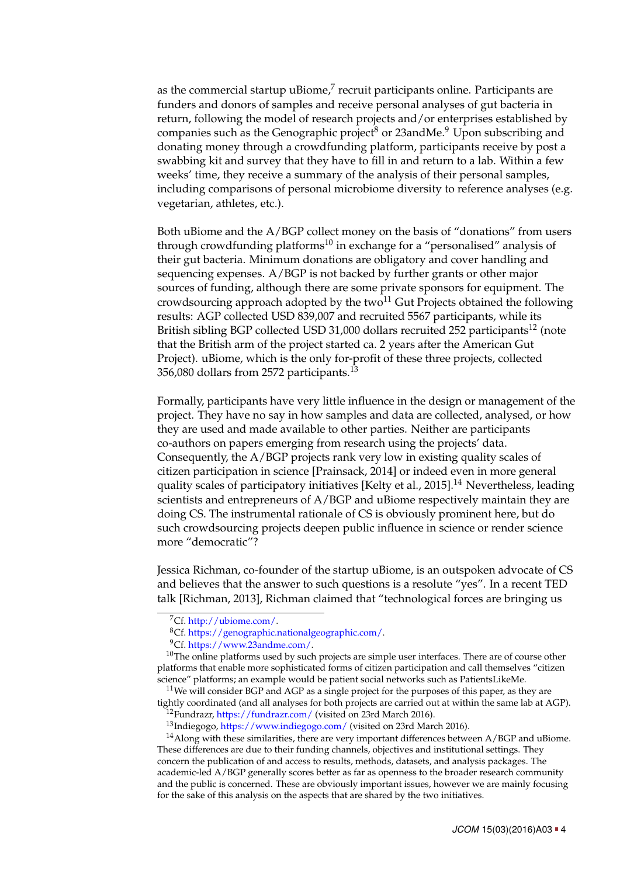as the commercial startup uBiome, $^7$  $^7$  recruit participants online. Participants are funders and donors of samples and receive personal analyses of gut bacteria in return, following the model of research projects and/or enterprises established by companies such as the Genographic project<sup>[8](#page-3-1)</sup> or 23andMe.<sup>[9](#page-3-2)</sup> Upon subscribing and donating money through a crowdfunding platform, participants receive by post a swabbing kit and survey that they have to fill in and return to a lab. Within a few weeks' time, they receive a summary of the analysis of their personal samples, including comparisons of personal microbiome diversity to reference analyses (e.g. vegetarian, athletes, etc.).

Both uBiome and the A/BGP collect money on the basis of "donations" from users through crowdfunding platforms<sup>[10](#page-3-3)</sup> in exchange for a "personalised" analysis of their gut bacteria. Minimum donations are obligatory and cover handling and sequencing expenses. A/BGP is not backed by further grants or other major sources of funding, although there are some private sponsors for equipment. The crowdsourcing approach adopted by the two $^{11}$  $^{11}$  $^{11}$  Gut Projects obtained the following results: AGP collected USD 839,007 and recruited 5567 participants, while its British sibling BGP collected USD 31,000 dollars recruited 252 participants<sup>[12](#page-3-5)</sup> (note that the British arm of the project started ca. 2 years after the American Gut Project). uBiome, which is the only for-profit of these three projects, collected 356,080 dollars from 2572 participants.[13](#page-3-6)

Formally, participants have very little influence in the design or management of the project. They have no say in how samples and data are collected, analysed, or how they are used and made available to other parties. Neither are participants co-authors on papers emerging from research using the projects' data. Consequently, the A/BGP projects rank very low in existing quality scales of citizen participation in science [Prainsack, [2014\]](#page-13-5) or indeed even in more general quality scales of participatory initiatives [Kelty et al., [2015\]](#page-13-6).[14](#page-3-7) Nevertheless, leading scientists and entrepreneurs of A/BGP and uBiome respectively maintain they are doing CS. The instrumental rationale of CS is obviously prominent here, but do such crowdsourcing projects deepen public influence in science or render science more "democratic"?

Jessica Richman, co-founder of the startup uBiome, is an outspoken advocate of CS and believes that the answer to such questions is a resolute "yes". In a recent TED talk [Richman, [2013\]](#page-13-7), Richman claimed that "technological forces are bringing us

<span id="page-3-4"></span> $11$ We will consider BGP and AGP as a single project for the purposes of this paper, as they are tightly coordinated (and all analyses for both projects are carried out at within the same lab at AGP).

<span id="page-3-5"></span><sup>12</sup>Fundrazr, <https://fundrazr.com/> (visited on 23rd March 2016).

<span id="page-3-7"></span><span id="page-3-6"></span><sup>13</sup>Indiegogo, <https://www.indiegogo.com/> (visited on 23rd March 2016).

<span id="page-3-0"></span><sup>7</sup>Cf. [http://ubiome.com/.](http://ubiome.com/)

<span id="page-3-1"></span><sup>8</sup>Cf. [https://genographic.nationalgeographic.com/.](https://genographic.nationalgeographic.com/)

<span id="page-3-3"></span><span id="page-3-2"></span><sup>9</sup>Cf. [https://www.23andme.com/.](https://www.23andme.com/)

 $10$ The online platforms used by such projects are simple user interfaces. There are of course other platforms that enable more sophisticated forms of citizen participation and call themselves "citizen science" platforms; an example would be patient social networks such as PatientsLikeMe.

<sup>&</sup>lt;sup>14</sup>Along with these similarities, there are very important differences between  $A/BCP$  and uBiome. These differences are due to their funding channels, objectives and institutional settings. They concern the publication of and access to results, methods, datasets, and analysis packages. The academic-led A/BGP generally scores better as far as openness to the broader research community and the public is concerned. These are obviously important issues, however we are mainly focusing for the sake of this analysis on the aspects that are shared by the two initiatives.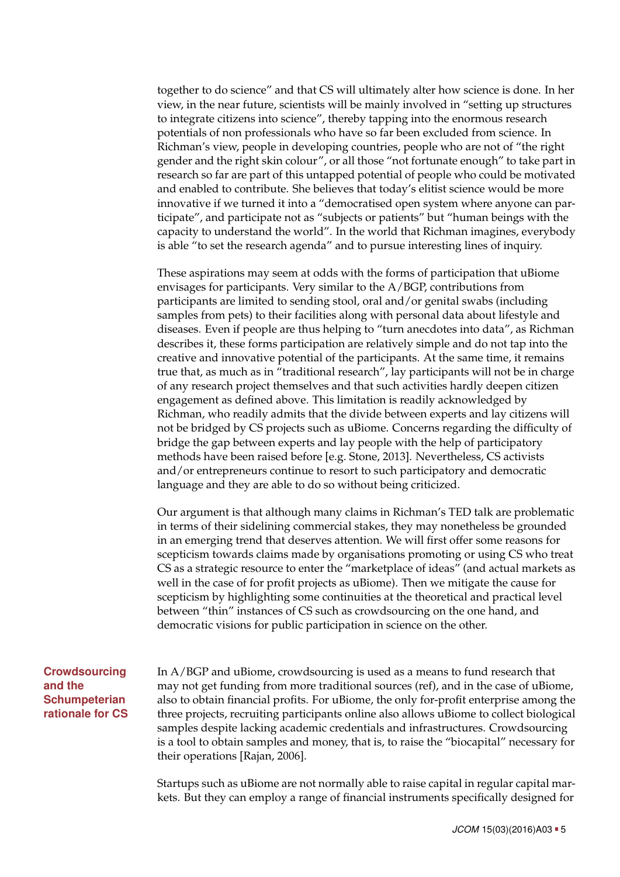together to do science" and that CS will ultimately alter how science is done. In her view, in the near future, scientists will be mainly involved in "setting up structures to integrate citizens into science", thereby tapping into the enormous research potentials of non professionals who have so far been excluded from science. In Richman's view, people in developing countries, people who are not of "the right gender and the right skin colour", or all those "not fortunate enough" to take part in research so far are part of this untapped potential of people who could be motivated and enabled to contribute. She believes that today's elitist science would be more innovative if we turned it into a "democratised open system where anyone can participate", and participate not as "subjects or patients" but "human beings with the capacity to understand the world". In the world that Richman imagines, everybody is able "to set the research agenda" and to pursue interesting lines of inquiry.

These aspirations may seem at odds with the forms of participation that uBiome envisages for participants. Very similar to the A/BGP, contributions from participants are limited to sending stool, oral and/or genital swabs (including samples from pets) to their facilities along with personal data about lifestyle and diseases. Even if people are thus helping to "turn anecdotes into data", as Richman describes it, these forms participation are relatively simple and do not tap into the creative and innovative potential of the participants. At the same time, it remains true that, as much as in "traditional research", lay participants will not be in charge of any research project themselves and that such activities hardly deepen citizen engagement as defined above. This limitation is readily acknowledged by Richman, who readily admits that the divide between experts and lay citizens will not be bridged by CS projects such as uBiome. Concerns regarding the difficulty of bridge the gap between experts and lay people with the help of participatory methods have been raised before [e.g. Stone, [2013\]](#page-14-5). Nevertheless, CS activists and/or entrepreneurs continue to resort to such participatory and democratic language and they are able to do so without being criticized.

Our argument is that although many claims in Richman's TED talk are problematic in terms of their sidelining commercial stakes, they may nonetheless be grounded in an emerging trend that deserves attention. We will first offer some reasons for scepticism towards claims made by organisations promoting or using CS who treat CS as a strategic resource to enter the "marketplace of ideas" (and actual markets as well in the case of for profit projects as uBiome). Then we mitigate the cause for scepticism by highlighting some continuities at the theoretical and practical level between "thin" instances of CS such as crowdsourcing on the one hand, and democratic visions for public participation in science on the other.

**Crowdsourcing and the Schumpeterian rationale for CS** <span id="page-4-0"></span>In A/BGP and uBiome, crowdsourcing is used as a means to fund research that may not get funding from more traditional sources (ref), and in the case of uBiome, also to obtain financial profits. For uBiome, the only for-profit enterprise among the three projects, recruiting participants online also allows uBiome to collect biological samples despite lacking academic credentials and infrastructures. Crowdsourcing is a tool to obtain samples and money, that is, to raise the "biocapital" necessary for their operations [Rajan, [2006\]](#page-13-8).

Startups such as uBiome are not normally able to raise capital in regular capital markets. But they can employ a range of financial instruments specifically designed for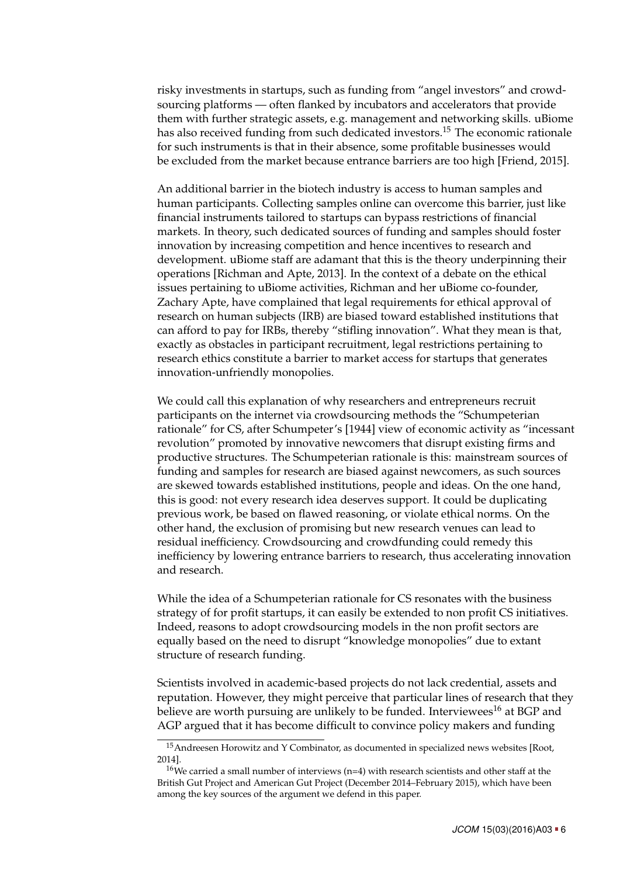risky investments in startups, such as funding from "angel investors" and crowdsourcing platforms — often flanked by incubators and accelerators that provide them with further strategic assets, e.g. management and networking skills. uBiome has also received funding from such dedicated investors.<sup>[15](#page-5-0)</sup> The economic rationale for such instruments is that in their absence, some profitable businesses would be excluded from the market because entrance barriers are too high [Friend, [2015\]](#page-12-3).

An additional barrier in the biotech industry is access to human samples and human participants. Collecting samples online can overcome this barrier, just like financial instruments tailored to startups can bypass restrictions of financial markets. In theory, such dedicated sources of funding and samples should foster innovation by increasing competition and hence incentives to research and development. uBiome staff are adamant that this is the theory underpinning their operations [Richman and Apte, [2013\]](#page-13-9). In the context of a debate on the ethical issues pertaining to uBiome activities, Richman and her uBiome co-founder, Zachary Apte, have complained that legal requirements for ethical approval of research on human subjects (IRB) are biased toward established institutions that can afford to pay for IRBs, thereby "stifling innovation". What they mean is that, exactly as obstacles in participant recruitment, legal restrictions pertaining to research ethics constitute a barrier to market access for startups that generates innovation-unfriendly monopolies.

We could call this explanation of why researchers and entrepreneurs recruit participants on the internet via crowdsourcing methods the "Schumpeterian rationale" for CS, after Schumpeter's [\[1944\]](#page-14-6) view of economic activity as "incessant revolution" promoted by innovative newcomers that disrupt existing firms and productive structures. The Schumpeterian rationale is this: mainstream sources of funding and samples for research are biased against newcomers, as such sources are skewed towards established institutions, people and ideas. On the one hand, this is good: not every research idea deserves support. It could be duplicating previous work, be based on flawed reasoning, or violate ethical norms. On the other hand, the exclusion of promising but new research venues can lead to residual inefficiency. Crowdsourcing and crowdfunding could remedy this inefficiency by lowering entrance barriers to research, thus accelerating innovation and research.

While the idea of a Schumpeterian rationale for CS resonates with the business strategy of for profit startups, it can easily be extended to non profit CS initiatives. Indeed, reasons to adopt crowdsourcing models in the non profit sectors are equally based on the need to disrupt "knowledge monopolies" due to extant structure of research funding.

Scientists involved in academic-based projects do not lack credential, assets and reputation. However, they might perceive that particular lines of research that they believe are worth pursuing are unlikely to be funded. Interviewees<sup>[16](#page-5-1)</sup> at BGP and AGP argued that it has become difficult to convince policy makers and funding

<span id="page-5-0"></span><sup>&</sup>lt;sup>15</sup> Andreesen Horowitz and Y Combinator, as documented in specialized news websites [Root, [2014\]](#page-13-10).

<span id="page-5-1"></span> $16$ We carried a small number of interviews (n=4) with research scientists and other staff at the British Gut Project and American Gut Project (December 2014–February 2015), which have been among the key sources of the argument we defend in this paper.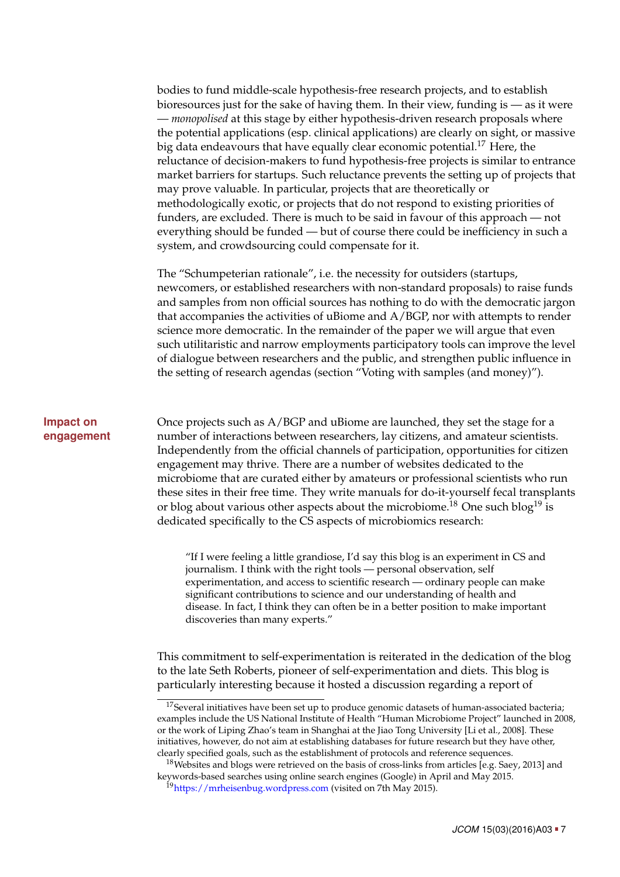bodies to fund middle-scale hypothesis-free research projects, and to establish bioresources just for the sake of having them. In their view, funding is — as it were — *monopolised* at this stage by either hypothesis-driven research proposals where the potential applications (esp. clinical applications) are clearly on sight, or massive big data endeavours that have equally clear economic potential.<sup>[17](#page-6-1)</sup> Here, the reluctance of decision-makers to fund hypothesis-free projects is similar to entrance market barriers for startups. Such reluctance prevents the setting up of projects that may prove valuable. In particular, projects that are theoretically or methodologically exotic, or projects that do not respond to existing priorities of funders, are excluded. There is much to be said in favour of this approach — not everything should be funded — but of course there could be inefficiency in such a system, and crowdsourcing could compensate for it.

The "Schumpeterian rationale", i.e. the necessity for outsiders (startups, newcomers, or established researchers with non-standard proposals) to raise funds and samples from non official sources has nothing to do with the democratic jargon that accompanies the activities of uBiome and A/BGP, nor with attempts to render science more democratic. In the remainder of the paper we will argue that even such utilitaristic and narrow employments participatory tools can improve the level of dialogue between researchers and the public, and strengthen public influence in the setting of research agendas (section ["Voting with samples \(and money\)"](#page-10-0)).

## **Impact on engagement**

<span id="page-6-0"></span>Once projects such as A/BGP and uBiome are launched, they set the stage for a number of interactions between researchers, lay citizens, and amateur scientists. Independently from the official channels of participation, opportunities for citizen engagement may thrive. There are a number of websites dedicated to the microbiome that are curated either by amateurs or professional scientists who run these sites in their free time. They write manuals for do-it-yourself fecal transplants or blog about various other aspects about the microbiome.<sup>[18](#page-6-2)</sup> One such blog<sup>[19](#page-6-3)</sup> is dedicated specifically to the CS aspects of microbiomics research:

"If I were feeling a little grandiose, I'd say this blog is an experiment in CS and journalism. I think with the right tools — personal observation, self experimentation, and access to scientific research — ordinary people can make significant contributions to science and our understanding of health and disease. In fact, I think they can often be in a better position to make important discoveries than many experts."

This commitment to self-experimentation is reiterated in the dedication of the blog to the late Seth Roberts, pioneer of self-experimentation and diets. This blog is particularly interesting because it hosted a discussion regarding a report of

<span id="page-6-1"></span> $17$ Several initiatives have been set up to produce genomic datasets of human-associated bacteria; examples include the US National Institute of Health "Human Microbiome Project" launched in 2008, or the work of Liping Zhao's team in Shanghai at the Jiao Tong University [Li et al., [2008\]](#page-13-11). These initiatives, however, do not aim at establishing databases for future research but they have other, clearly specified goals, such as the establishment of protocols and reference sequences.

<span id="page-6-2"></span><sup>&</sup>lt;sup>18</sup>Websites and blogs were retrieved on the basis of cross-links from articles [e.g. Saey, [2013\]](#page-13-12) and keywords-based searches using online search engines (Google) in April and May 2015.

<span id="page-6-3"></span><sup>&</sup>lt;sup>19</sup><https://mrheisenbug.wordpress.com> (visited on 7th May 2015).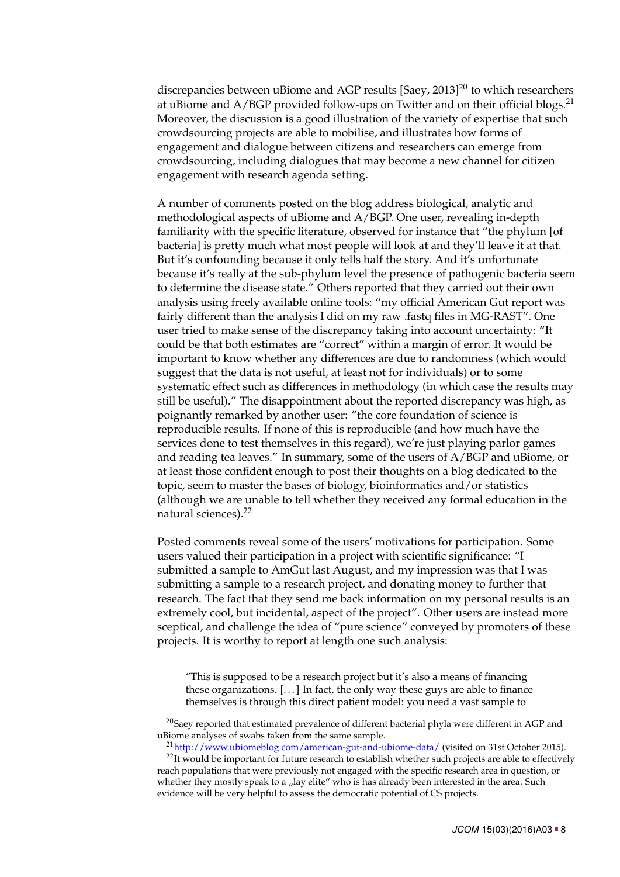discrepancies between uBiome and AGP results [Saey, [2013\]](#page-13-12)<sup>[20](#page-7-0)</sup> to which researchers at uBiome and A/BGP provided follow-ups on Twitter and on their official blogs.<sup>[21](#page-7-1)</sup> Moreover, the discussion is a good illustration of the variety of expertise that such crowdsourcing projects are able to mobilise, and illustrates how forms of engagement and dialogue between citizens and researchers can emerge from crowdsourcing, including dialogues that may become a new channel for citizen engagement with research agenda setting.

A number of comments posted on the blog address biological, analytic and methodological aspects of uBiome and A/BGP. One user, revealing in-depth familiarity with the specific literature, observed for instance that "the phylum [of bacteria] is pretty much what most people will look at and they'll leave it at that. But it's confounding because it only tells half the story. And it's unfortunate because it's really at the sub-phylum level the presence of pathogenic bacteria seem to determine the disease state." Others reported that they carried out their own analysis using freely available online tools: "my official American Gut report was fairly different than the analysis I did on my raw .fastq files in MG-RAST". One user tried to make sense of the discrepancy taking into account uncertainty: "It could be that both estimates are "correct" within a margin of error. It would be important to know whether any differences are due to randomness (which would suggest that the data is not useful, at least not for individuals) or to some systematic effect such as differences in methodology (in which case the results may still be useful)." The disappointment about the reported discrepancy was high, as poignantly remarked by another user: "the core foundation of science is reproducible results. If none of this is reproducible (and how much have the services done to test themselves in this regard), we're just playing parlor games and reading tea leaves." In summary, some of the users of A/BGP and uBiome, or at least those confident enough to post their thoughts on a blog dedicated to the topic, seem to master the bases of biology, bioinformatics and/or statistics (although we are unable to tell whether they received any formal education in the natural sciences).[22](#page-7-2)

Posted comments reveal some of the users' motivations for participation. Some users valued their participation in a project with scientific significance: "I submitted a sample to AmGut last August, and my impression was that I was submitting a sample to a research project, and donating money to further that research. The fact that they send me back information on my personal results is an extremely cool, but incidental, aspect of the project". Other users are instead more sceptical, and challenge the idea of "pure science" conveyed by promoters of these projects. It is worthy to report at length one such analysis:

"This is supposed to be a research project but it's also a means of financing these organizations. [. . . ] In fact, the only way these guys are able to finance themselves is through this direct patient model: you need a vast sample to

<span id="page-7-0"></span> $^{20}$ Saey reported that estimated prevalence of different bacterial phyla were different in AGP and uBiome analyses of swabs taken from the same sample.

<span id="page-7-2"></span><span id="page-7-1"></span><sup>21</sup><http://www.ubiomeblog.com/american-gut-and-ubiome-data/> (visited on 31st October 2015).

<sup>&</sup>lt;sup>22</sup>It would be important for future research to establish whether such projects are able to effectively reach populations that were previously not engaged with the specific research area in question, or whether they mostly speak to a "lay elite" who is has already been interested in the area. Such evidence will be very helpful to assess the democratic potential of CS projects.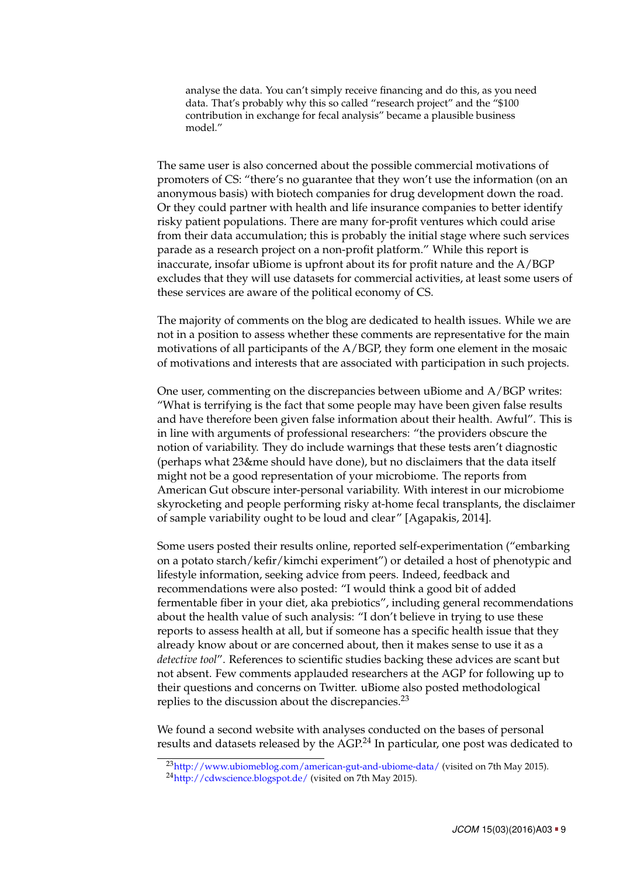analyse the data. You can't simply receive financing and do this, as you need data. That's probably why this so called "research project" and the "\$100 contribution in exchange for fecal analysis" became a plausible business model."

The same user is also concerned about the possible commercial motivations of promoters of CS: "there's no guarantee that they won't use the information (on an anonymous basis) with biotech companies for drug development down the road. Or they could partner with health and life insurance companies to better identify risky patient populations. There are many for-profit ventures which could arise from their data accumulation; this is probably the initial stage where such services parade as a research project on a non-profit platform." While this report is inaccurate, insofar uBiome is upfront about its for profit nature and the A/BGP excludes that they will use datasets for commercial activities, at least some users of these services are aware of the political economy of CS.

The majority of comments on the blog are dedicated to health issues. While we are not in a position to assess whether these comments are representative for the main motivations of all participants of the A/BGP, they form one element in the mosaic of motivations and interests that are associated with participation in such projects.

One user, commenting on the discrepancies between uBiome and A/BGP writes: "What is terrifying is the fact that some people may have been given false results and have therefore been given false information about their health. Awful". This is in line with arguments of professional researchers: "the providers obscure the notion of variability. They do include warnings that these tests aren't diagnostic (perhaps what 23&me should have done), but no disclaimers that the data itself might not be a good representation of your microbiome. The reports from American Gut obscure inter-personal variability. With interest in our microbiome skyrocketing and people performing risky at-home fecal transplants, the disclaimer of sample variability ought to be loud and clear" [Agapakis, [2014\]](#page-12-4).

Some users posted their results online, reported self-experimentation ("embarking on a potato starch/kefir/kimchi experiment") or detailed a host of phenotypic and lifestyle information, seeking advice from peers. Indeed, feedback and recommendations were also posted: "I would think a good bit of added fermentable fiber in your diet, aka prebiotics", including general recommendations about the health value of such analysis: "I don't believe in trying to use these reports to assess health at all, but if someone has a specific health issue that they already know about or are concerned about, then it makes sense to use it as a *detective tool*". References to scientific studies backing these advices are scant but not absent. Few comments applauded researchers at the AGP for following up to their questions and concerns on Twitter. uBiome also posted methodological replies to the discussion about the discrepancies.<sup>[23](#page-8-0)</sup>

We found a second website with analyses conducted on the bases of personal results and datasets released by the AGP.<sup>[24](#page-8-1)</sup> In particular, one post was dedicated to

<span id="page-8-1"></span><span id="page-8-0"></span><sup>&</sup>lt;sup>23</sup><http://www.ubiomeblog.com/american-gut-and-ubiome-data/> (visited on 7th May 2015). <sup>24</sup><http://cdwscience.blogspot.de/> (visited on 7th May 2015).

*JCOM* 15(03)(2016)A03 = 9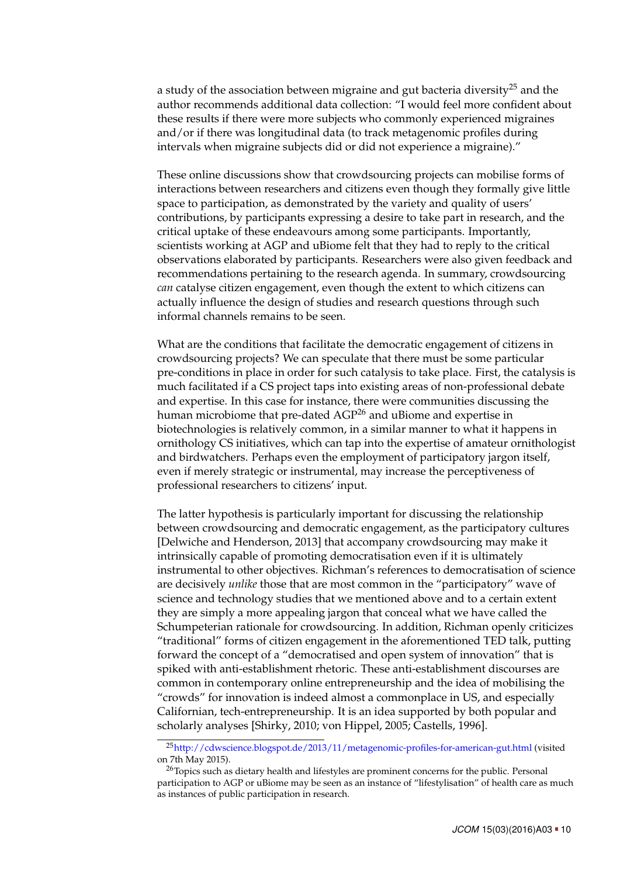a study of the association between migraine and gut bacteria diversity<sup>[25](#page-9-0)</sup> and the author recommends additional data collection: "I would feel more confident about these results if there were more subjects who commonly experienced migraines and/or if there was longitudinal data (to track metagenomic profiles during intervals when migraine subjects did or did not experience a migraine)."

These online discussions show that crowdsourcing projects can mobilise forms of interactions between researchers and citizens even though they formally give little space to participation, as demonstrated by the variety and quality of users' contributions, by participants expressing a desire to take part in research, and the critical uptake of these endeavours among some participants. Importantly, scientists working at AGP and uBiome felt that they had to reply to the critical observations elaborated by participants. Researchers were also given feedback and recommendations pertaining to the research agenda. In summary, crowdsourcing *can* catalyse citizen engagement, even though the extent to which citizens can actually influence the design of studies and research questions through such informal channels remains to be seen.

What are the conditions that facilitate the democratic engagement of citizens in crowdsourcing projects? We can speculate that there must be some particular pre-conditions in place in order for such catalysis to take place. First, the catalysis is much facilitated if a CS project taps into existing areas of non-professional debate and expertise. In this case for instance, there were communities discussing the human microbiome that pre-dated AGP<sup>[26](#page-9-1)</sup> and uBiome and expertise in biotechnologies is relatively common, in a similar manner to what it happens in ornithology CS initiatives, which can tap into the expertise of amateur ornithologist and birdwatchers. Perhaps even the employment of participatory jargon itself, even if merely strategic or instrumental, may increase the perceptiveness of professional researchers to citizens' input.

The latter hypothesis is particularly important for discussing the relationship between crowdsourcing and democratic engagement, as the participatory cultures [Delwiche and Henderson, [2013\]](#page-12-5) that accompany crowdsourcing may make it intrinsically capable of promoting democratisation even if it is ultimately instrumental to other objectives. Richman's references to democratisation of science are decisively *unlike* those that are most common in the "participatory" wave of science and technology studies that we mentioned above and to a certain extent they are simply a more appealing jargon that conceal what we have called the Schumpeterian rationale for crowdsourcing. In addition, Richman openly criticizes "traditional" forms of citizen engagement in the aforementioned TED talk, putting forward the concept of a "democratised and open system of innovation" that is spiked with anti-establishment rhetoric. These anti-establishment discourses are common in contemporary online entrepreneurship and the idea of mobilising the "crowds" for innovation is indeed almost a commonplace in US, and especially Californian, tech-entrepreneurship. It is an idea supported by both popular and scholarly analyses [Shirky, [2010;](#page-14-7) von Hippel, [2005;](#page-14-8) Castells, [1996\]](#page-12-6).

<span id="page-9-0"></span><sup>25</sup><http://cdwscience.blogspot.de/2013/11/metagenomic-profiles-for-american-gut.html> (visited on 7th May 2015).

<span id="page-9-1"></span><sup>&</sup>lt;sup>26</sup>Topics such as dietary health and lifestyles are prominent concerns for the public. Personal participation to AGP or uBiome may be seen as an instance of "lifestylisation" of health care as much as instances of public participation in research.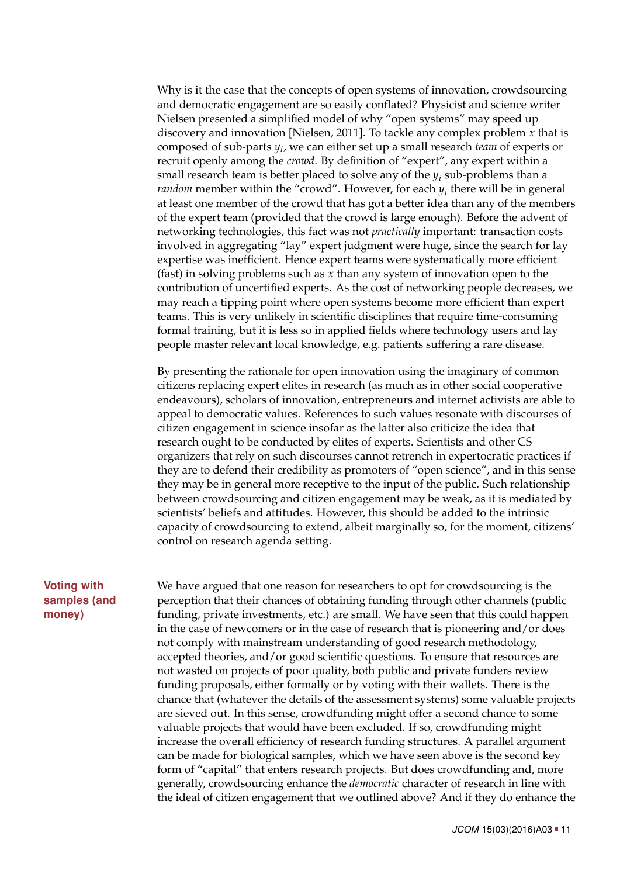Why is it the case that the concepts of open systems of innovation, crowdsourcing and democratic engagement are so easily conflated? Physicist and science writer Nielsen presented a simplified model of why "open systems" may speed up discovery and innovation [Nielsen, [2011\]](#page-13-13). To tackle any complex problem *x* that is composed of sub-parts *y<sup>i</sup>* , we can either set up a small research *team* of experts or recruit openly among the *crowd*. By definition of "expert", any expert within a small research team is better placed to solve any of the *y<sup>i</sup>* sub-problems than a *random* member within the "crowd". However, for each *y<sup>i</sup>* there will be in general at least one member of the crowd that has got a better idea than any of the members of the expert team (provided that the crowd is large enough). Before the advent of networking technologies, this fact was not *practically* important: transaction costs involved in aggregating "lay" expert judgment were huge, since the search for lay expertise was inefficient. Hence expert teams were systematically more efficient (fast) in solving problems such as *x* than any system of innovation open to the contribution of uncertified experts. As the cost of networking people decreases, we may reach a tipping point where open systems become more efficient than expert teams. This is very unlikely in scientific disciplines that require time-consuming formal training, but it is less so in applied fields where technology users and lay people master relevant local knowledge, e.g. patients suffering a rare disease.

By presenting the rationale for open innovation using the imaginary of common citizens replacing expert elites in research (as much as in other social cooperative endeavours), scholars of innovation, entrepreneurs and internet activists are able to appeal to democratic values. References to such values resonate with discourses of citizen engagement in science insofar as the latter also criticize the idea that research ought to be conducted by elites of experts. Scientists and other CS organizers that rely on such discourses cannot retrench in expertocratic practices if they are to defend their credibility as promoters of "open science", and in this sense they may be in general more receptive to the input of the public. Such relationship between crowdsourcing and citizen engagement may be weak, as it is mediated by scientists' beliefs and attitudes. However, this should be added to the intrinsic capacity of crowdsourcing to extend, albeit marginally so, for the moment, citizens' control on research agenda setting.

## **Voting with samples (and money)**

<span id="page-10-0"></span>We have argued that one reason for researchers to opt for crowdsourcing is the perception that their chances of obtaining funding through other channels (public funding, private investments, etc.) are small. We have seen that this could happen in the case of newcomers or in the case of research that is pioneering and/or does not comply with mainstream understanding of good research methodology, accepted theories, and/or good scientific questions. To ensure that resources are not wasted on projects of poor quality, both public and private funders review funding proposals, either formally or by voting with their wallets. There is the chance that (whatever the details of the assessment systems) some valuable projects are sieved out. In this sense, crowdfunding might offer a second chance to some valuable projects that would have been excluded. If so, crowdfunding might increase the overall efficiency of research funding structures. A parallel argument can be made for biological samples, which we have seen above is the second key form of "capital" that enters research projects. But does crowdfunding and, more generally, crowdsourcing enhance the *democratic* character of research in line with the ideal of citizen engagement that we outlined above? And if they do enhance the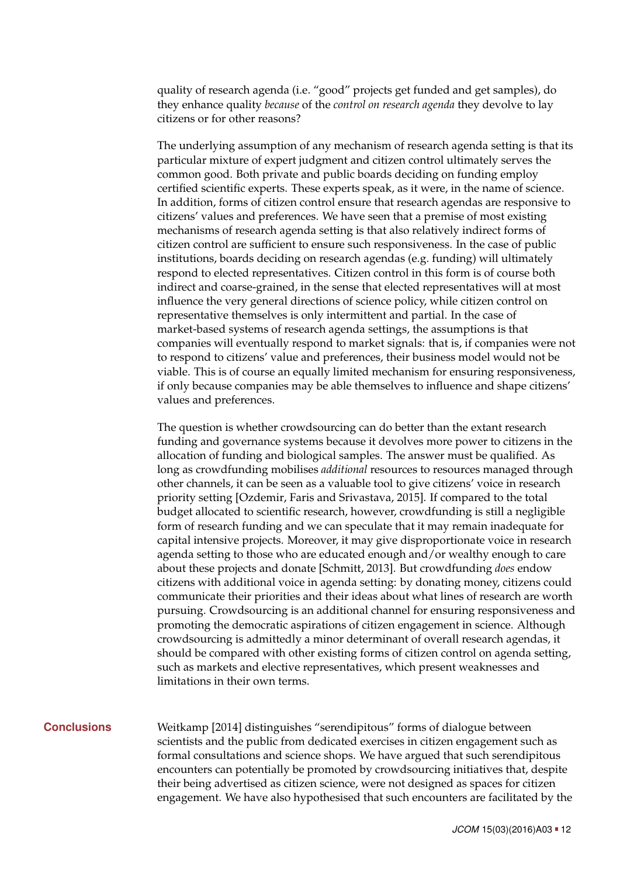quality of research agenda (i.e. "good" projects get funded and get samples), do they enhance quality *because* of the *control on research agenda* they devolve to lay citizens or for other reasons?

The underlying assumption of any mechanism of research agenda setting is that its particular mixture of expert judgment and citizen control ultimately serves the common good. Both private and public boards deciding on funding employ certified scientific experts. These experts speak, as it were, in the name of science. In addition, forms of citizen control ensure that research agendas are responsive to citizens' values and preferences. We have seen that a premise of most existing mechanisms of research agenda setting is that also relatively indirect forms of citizen control are sufficient to ensure such responsiveness. In the case of public institutions, boards deciding on research agendas (e.g. funding) will ultimately respond to elected representatives. Citizen control in this form is of course both indirect and coarse-grained, in the sense that elected representatives will at most influence the very general directions of science policy, while citizen control on representative themselves is only intermittent and partial. In the case of market-based systems of research agenda settings, the assumptions is that companies will eventually respond to market signals: that is, if companies were not to respond to citizens' value and preferences, their business model would not be viable. This is of course an equally limited mechanism for ensuring responsiveness, if only because companies may be able themselves to influence and shape citizens' values and preferences.

The question is whether crowdsourcing can do better than the extant research funding and governance systems because it devolves more power to citizens in the allocation of funding and biological samples. The answer must be qualified. As long as crowdfunding mobilises *additional* resources to resources managed through other channels, it can be seen as a valuable tool to give citizens' voice in research priority setting [Ozdemir, Faris and Srivastava, [2015\]](#page-13-14). If compared to the total budget allocated to scientific research, however, crowdfunding is still a negligible form of research funding and we can speculate that it may remain inadequate for capital intensive projects. Moreover, it may give disproportionate voice in research agenda setting to those who are educated enough and/or wealthy enough to care about these projects and donate [Schmitt, [2013\]](#page-14-9). But crowdfunding *does* endow citizens with additional voice in agenda setting: by donating money, citizens could communicate their priorities and their ideas about what lines of research are worth pursuing. Crowdsourcing is an additional channel for ensuring responsiveness and promoting the democratic aspirations of citizen engagement in science. Although crowdsourcing is admittedly a minor determinant of overall research agendas, it should be compared with other existing forms of citizen control on agenda setting, such as markets and elective representatives, which present weaknesses and limitations in their own terms.

<span id="page-11-0"></span>**Conclusions** Weitkamp [\[2014\]](#page-14-10) distinguishes "serendipitous" forms of dialogue between scientists and the public from dedicated exercises in citizen engagement such as formal consultations and science shops. We have argued that such serendipitous encounters can potentially be promoted by crowdsourcing initiatives that, despite their being advertised as citizen science, were not designed as spaces for citizen engagement. We have also hypothesised that such encounters are facilitated by the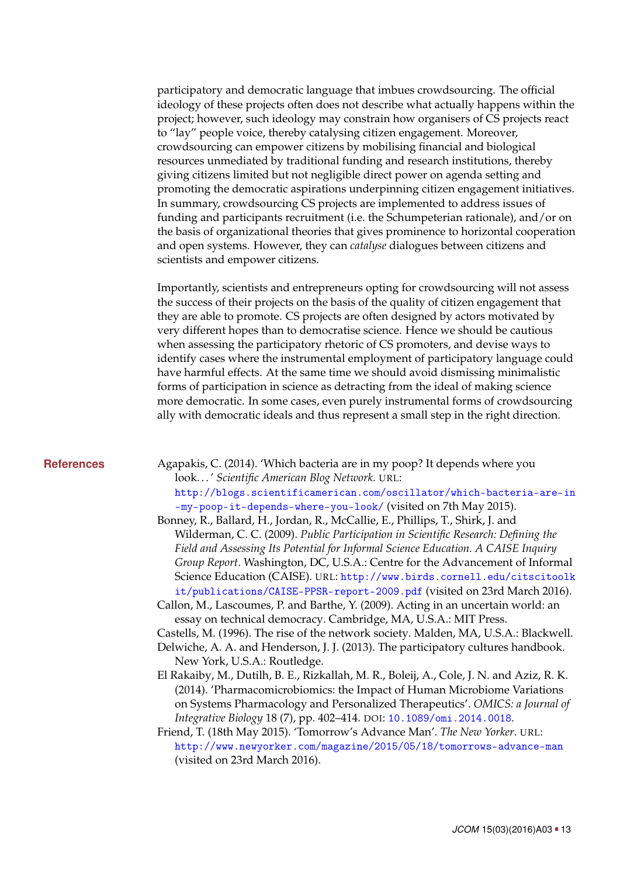participatory and democratic language that imbues crowdsourcing. The official ideology of these projects often does not describe what actually happens within the project; however, such ideology may constrain how organisers of CS projects react to "lay" people voice, thereby catalysing citizen engagement. Moreover, crowdsourcing can empower citizens by mobilising financial and biological resources unmediated by traditional funding and research institutions, thereby giving citizens limited but not negligible direct power on agenda setting and promoting the democratic aspirations underpinning citizen engagement initiatives. In summary, crowdsourcing CS projects are implemented to address issues of funding and participants recruitment (i.e. the Schumpeterian rationale), and/or on the basis of organizational theories that gives prominence to horizontal cooperation and open systems. However, they can *catalyse* dialogues between citizens and scientists and empower citizens.

Importantly, scientists and entrepreneurs opting for crowdsourcing will not assess the success of their projects on the basis of the quality of citizen engagement that they are able to promote. CS projects are often designed by actors motivated by very different hopes than to democratise science. Hence we should be cautious when assessing the participatory rhetoric of CS promoters, and devise ways to identify cases where the instrumental employment of participatory language could have harmful effects. At the same time we should avoid dismissing minimalistic forms of participation in science as detracting from the ideal of making science more democratic. In some cases, even purely instrumental forms of crowdsourcing ally with democratic ideals and thus represent a small step in the right direction.

**References** Agapakis, C. (2014). 'Which bacteria are in my poop? It depends where you look. . . ' *Scientific American Blog Network*. URL: [http://blogs.scientificamerican.com/oscillator/which-bacteria-are-in](http://blogs.scientificamerican.com/oscillator/which-bacteria-are-in-my-poop-it-depends-where-you-look/) [-my-poop-it-depends-where-you-look/](http://blogs.scientificamerican.com/oscillator/which-bacteria-are-in-my-poop-it-depends-where-you-look/) (visited on 7th May 2015).

- <span id="page-12-4"></span><span id="page-12-0"></span>Bonney, R., Ballard, H., Jordan, R., McCallie, E., Phillips, T., Shirk, J. and Wilderman, C. C. (2009). *Public Participation in Scientific Research: Defining the Field and Assessing Its Potential for Informal Science Education. A CAISE Inquiry Group Report*. Washington, DC, U.S.A.: Centre for the Advancement of Informal Science Education (CAISE). URL: [http://www.birds.cornell.edu/citscitoolk](http://www.birds.cornell.edu/citscitoolkit/publications/CAISE-PPSR-report-2009.pdf) [it/publications/CAISE-PPSR-report-2009.pdf](http://www.birds.cornell.edu/citscitoolkit/publications/CAISE-PPSR-report-2009.pdf) (visited on 23rd March 2016).
- <span id="page-12-1"></span>Callon, M., Lascoumes, P. and Barthe, Y. (2009). Acting in an uncertain world: an essay on technical democracy. Cambridge, MA, U.S.A.: MIT Press.

<span id="page-12-6"></span><span id="page-12-5"></span>Castells, M. (1996). The rise of the network society. Malden, MA, U.S.A.: Blackwell. Delwiche, A. A. and Henderson, J. J. (2013). The participatory cultures handbook.

- New York, U.S.A.: Routledge.
- <span id="page-12-2"></span>El Rakaiby, M., Dutilh, B. E., Rizkallah, M. R., Boleij, A., Cole, J. N. and Aziz, R. K. (2014). 'Pharmacomicrobiomics: the Impact of Human Microbiome Variations on Systems Pharmacology and Personalized Therapeutics'. *OMICS: a Journal of Integrative Biology* 18 (7), pp. 402–414. DOI: [10.1089/omi.2014.0018](http://dx.doi.org/10.1089/omi.2014.0018).
- <span id="page-12-3"></span>Friend, T. (18th May 2015). 'Tomorrow's Advance Man'. *The New Yorker*. URL: <http://www.newyorker.com/magazine/2015/05/18/tomorrows-advance-man> (visited on 23rd March 2016).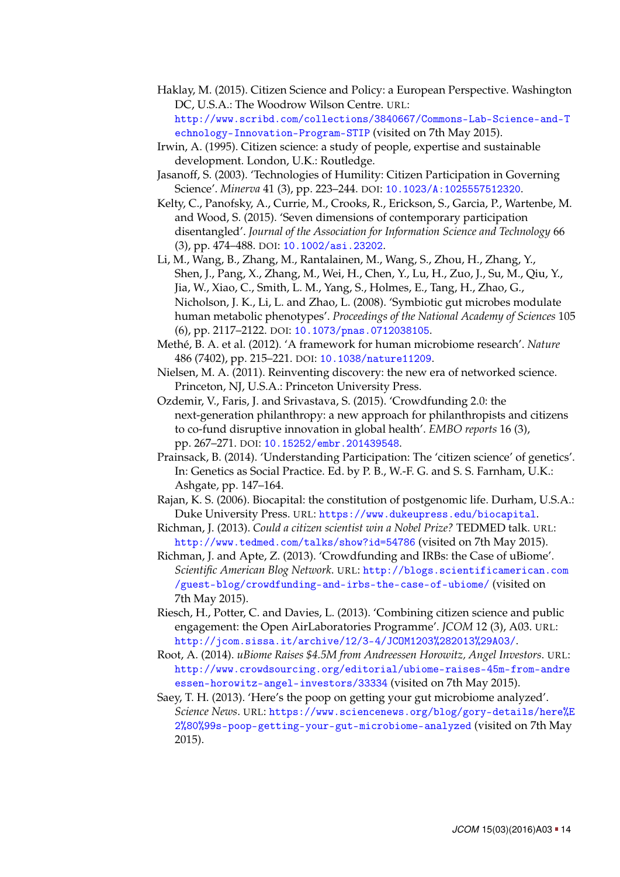- <span id="page-13-0"></span>Haklay, M. (2015). Citizen Science and Policy: a European Perspective. Washington DC, U.S.A.: The Woodrow Wilson Centre. URL: [http://www.scribd.com/collections/3840667/Commons-Lab-Science-and-T](http://www.scribd.com/collections/3840667/Commons-Lab-Science-and-Technology-Innovation-Program-STIP) [echnology-Innovation-Program-STIP](http://www.scribd.com/collections/3840667/Commons-Lab-Science-and-Technology-Innovation-Program-STIP) (visited on 7th May 2015).
- <span id="page-13-1"></span>Irwin, A. (1995). Citizen science: a study of people, expertise and sustainable development. London, U.K.: Routledge.
- <span id="page-13-2"></span>Jasanoff, S. (2003). 'Technologies of Humility: Citizen Participation in Governing Science'. *Minerva* 41 (3), pp. 223–244. DOI: [10.1023/A:1025557512320](http://dx.doi.org/10.1023/A:1025557512320).
- <span id="page-13-6"></span>Kelty, C., Panofsky, A., Currie, M., Crooks, R., Erickson, S., Garcia, P., Wartenbe, M. and Wood, S. (2015). 'Seven dimensions of contemporary participation disentangled'. *Journal of the Association for Information Science and Technology* 66 (3), pp. 474–488. DOI: [10.1002/asi.23202](http://dx.doi.org/10.1002/asi.23202).
- <span id="page-13-11"></span>Li, M., Wang, B., Zhang, M., Rantalainen, M., Wang, S., Zhou, H., Zhang, Y., Shen, J., Pang, X., Zhang, M., Wei, H., Chen, Y., Lu, H., Zuo, J., Su, M., Qiu, Y., Jia, W., Xiao, C., Smith, L. M., Yang, S., Holmes, E., Tang, H., Zhao, G., Nicholson, J. K., Li, L. and Zhao, L. (2008). 'Symbiotic gut microbes modulate human metabolic phenotypes'. *Proceedings of the National Academy of Sciences* 105 (6), pp. 2117–2122. DOI: [10.1073/pnas.0712038105](http://dx.doi.org/10.1073/pnas.0712038105).
- <span id="page-13-4"></span>Methé, B. A. et al. (2012). 'A framework for human microbiome research'. *Nature* 486 (7402), pp. 215–221. DOI: [10.1038/nature11209](http://dx.doi.org/10.1038/nature11209).
- <span id="page-13-13"></span>Nielsen, M. A. (2011). Reinventing discovery: the new era of networked science. Princeton, NJ, U.S.A.: Princeton University Press.
- <span id="page-13-14"></span>Ozdemir, V., Faris, J. and Srivastava, S. (2015). 'Crowdfunding 2.0: the next-generation philanthropy: a new approach for philanthropists and citizens to co-fund disruptive innovation in global health'. *EMBO reports* 16 (3), pp. 267–271. DOI: [10.15252/embr.201439548](http://dx.doi.org/10.15252/embr.201439548).
- <span id="page-13-5"></span>Prainsack, B. (2014). 'Understanding Participation: The 'citizen science' of genetics'. In: Genetics as Social Practice. Ed. by P. B., W.-F. G. and S. S. Farnham, U.K.: Ashgate, pp. 147–164.
- <span id="page-13-8"></span>Rajan, K. S. (2006). Biocapital: the constitution of postgenomic life. Durham, U.S.A.: Duke University Press. URL: <https://www.dukeupress.edu/biocapital>.
- <span id="page-13-7"></span>Richman, J. (2013). *Could a citizen scientist win a Nobel Prize?* TEDMED talk. URL: <http://www.tedmed.com/talks/show?id=54786> (visited on 7th May 2015).
- <span id="page-13-9"></span>Richman, J. and Apte, Z. (2013). 'Crowdfunding and IRBs: the Case of uBiome'. *Scientific American Blog Network*. URL: [http://blogs.scientificamerican.com](http://blogs.scientificamerican.com/guest-blog/crowdfunding-and-irbs-the-case-of-ubiome/) [/guest-blog/crowdfunding-and-irbs-the-case-of-ubiome/](http://blogs.scientificamerican.com/guest-blog/crowdfunding-and-irbs-the-case-of-ubiome/) (visited on 7th May 2015).
- <span id="page-13-3"></span>Riesch, H., Potter, C. and Davies, L. (2013). 'Combining citizen science and public engagement: the Open AirLaboratories Programme'. *JCOM* 12 (3), A03. URL: <http://jcom.sissa.it/archive/12/3-4/JCOM1203%282013%29A03/>.
- <span id="page-13-10"></span>Root, A. (2014). *uBiome Raises \$4.5M from Andreessen Horowitz, Angel Investors*. URL: [http://www.crowdsourcing.org/editorial/ubiome-raises-45m-from-andre](http://www.crowdsourcing.org/editorial/ubiome-raises-45m-from-andreessen-horowitz-angel-investors/33334) [essen-horowitz-angel-investors/33334](http://www.crowdsourcing.org/editorial/ubiome-raises-45m-from-andreessen-horowitz-angel-investors/33334) (visited on 7th May 2015).
- <span id="page-13-12"></span>Saey, T. H. (2013). 'Here's the poop on getting your gut microbiome analyzed'. *Science News*. URL: [https://www.sciencenews.org/blog/gory-details/here%E](https://www.sciencenews.org/blog/gory-details/here%E2%80%99s-poop-getting-your-gut-microbiome-analyzed) [2%80%99s-poop-getting-your-gut-microbiome-analyzed](https://www.sciencenews.org/blog/gory-details/here%E2%80%99s-poop-getting-your-gut-microbiome-analyzed) (visited on 7th May 2015).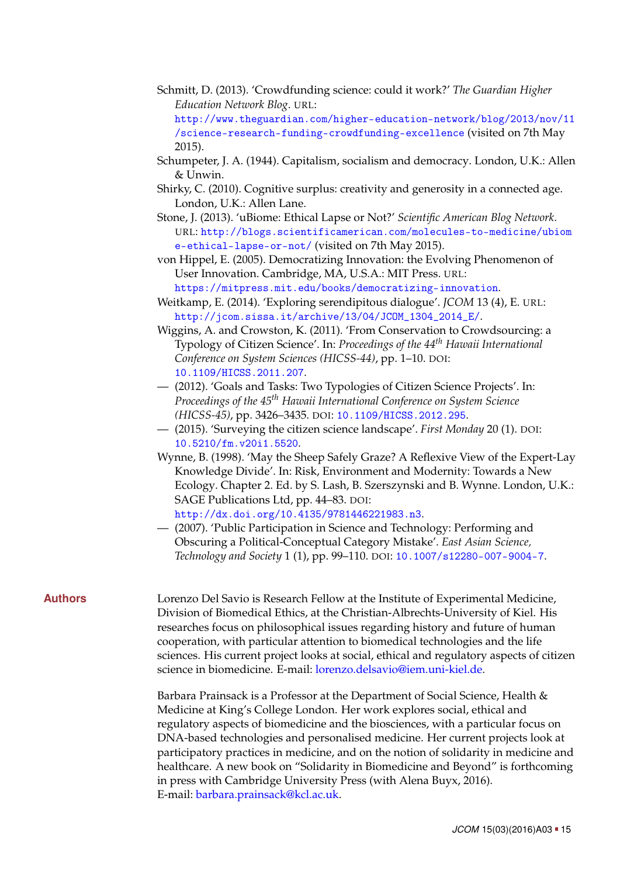- <span id="page-14-9"></span>Schmitt, D. (2013). 'Crowdfunding science: could it work?' *The Guardian Higher Education Network Blog*. URL: [http://www.theguardian.com/higher-education-network/blog/2013/nov/11](http://www.theguardian.com/higher-education-network/blog/2013/nov/11/science-research-funding-crowdfunding-excellence)
	- [/science-research-funding-crowdfunding-excellence](http://www.theguardian.com/higher-education-network/blog/2013/nov/11/science-research-funding-crowdfunding-excellence) (visited on 7th May 2015).
- <span id="page-14-6"></span>Schumpeter, J. A. (1944). Capitalism, socialism and democracy. London, U.K.: Allen & Unwin.
- <span id="page-14-7"></span>Shirky, C. (2010). Cognitive surplus: creativity and generosity in a connected age. London, U.K.: Allen Lane.
- <span id="page-14-5"></span>Stone, J. (2013). 'uBiome: Ethical Lapse or Not?' *Scientific American Blog Network*. URL: [http://blogs.scientificamerican.com/molecules-to-medicine/ubiom](http://blogs.scientificamerican.com/molecules-to-medicine/ubiome-ethical-lapse-or-not/) [e-ethical-lapse-or-not/](http://blogs.scientificamerican.com/molecules-to-medicine/ubiome-ethical-lapse-or-not/) (visited on 7th May 2015).
- <span id="page-14-8"></span>von Hippel, E. (2005). Democratizing Innovation: the Evolving Phenomenon of User Innovation. Cambridge, MA, U.S.A.: MIT Press. URL:
- <span id="page-14-10"></span><https://mitpress.mit.edu/books/democratizing-innovation>. Weitkamp, E. (2014). 'Exploring serendipitous dialogue'. *JCOM* 13 (4), E. URL: [http://jcom.sissa.it/archive/13/04/JCOM\\_1304\\_2014\\_E/](http://jcom.sissa.it/archive/13/04/JCOM_1304_2014_E/).
- <span id="page-14-0"></span>Wiggins, A. and Crowston, K. (2011). 'From Conservation to Crowdsourcing: a Typology of Citizen Science'. In: *Proceedings of the 44th Hawaii International Conference on System Sciences (HICSS-44)*, pp. 1–10. DOI: [10.1109/HICSS.2011.207](http://dx.doi.org/10.1109/HICSS.2011.207).
- <span id="page-14-1"></span>— (2012). 'Goals and Tasks: Two Typologies of Citizen Science Projects'. In: *Proceedings of the 45th Hawaii International Conference on System Science (HICSS-45)*, pp. 3426–3435. DOI: [10.1109/HICSS.2012.295](http://dx.doi.org/10.1109/HICSS.2012.295).
- <span id="page-14-2"></span>— (2015). 'Surveying the citizen science landscape'. *First Monday* 20 (1). DOI: [10.5210/fm.v20i1.5520](http://dx.doi.org/10.5210/fm.v20i1.5520).
- <span id="page-14-3"></span>Wynne, B. (1998). 'May the Sheep Safely Graze? A Reflexive View of the Expert-Lay Knowledge Divide'. In: Risk, Environment and Modernity: Towards a New Ecology. Chapter 2. Ed. by S. Lash, B. Szerszynski and B. Wynne. London, U.K.: SAGE Publications Ltd, pp. 44–83. DOI: [http://dx.doi.org/10.4135/9781446221983.n3](http://dx.doi.org/http://dx.doi.org/10.4135/9781446221983.n3).
- <span id="page-14-4"></span>— (2007). 'Public Participation in Science and Technology: Performing and Obscuring a Political-Conceptual Category Mistake'. *East Asian Science, Technology and Society* 1 (1), pp. 99–110. DOI: [10.1007/s12280-007-9004-7](http://dx.doi.org/10.1007/s12280-007-9004-7).

**Authors** Lorenzo Del Savio is Research Fellow at the Institute of Experimental Medicine, Division of Biomedical Ethics, at the Christian-Albrechts-University of Kiel. His researches focus on philosophical issues regarding history and future of human cooperation, with particular attention to biomedical technologies and the life sciences. His current project looks at social, ethical and regulatory aspects of citizen science in biomedicine. E-mail: [lorenzo.delsavio@iem.uni-kiel.de.](mailto:lorenzo.delsavio@iem.uni-kiel.de)

> Barbara Prainsack is a Professor at the Department of Social Science, Health & Medicine at King's College London. Her work explores social, ethical and regulatory aspects of biomedicine and the biosciences, with a particular focus on DNA-based technologies and personalised medicine. Her current projects look at participatory practices in medicine, and on the notion of solidarity in medicine and healthcare. A new book on "Solidarity in Biomedicine and Beyond" is forthcoming in press with Cambridge University Press (with Alena Buyx, 2016). E-mail: [barbara.prainsack@kcl.ac.uk.](mailto:barbara.prainsack@kcl.ac.uk)